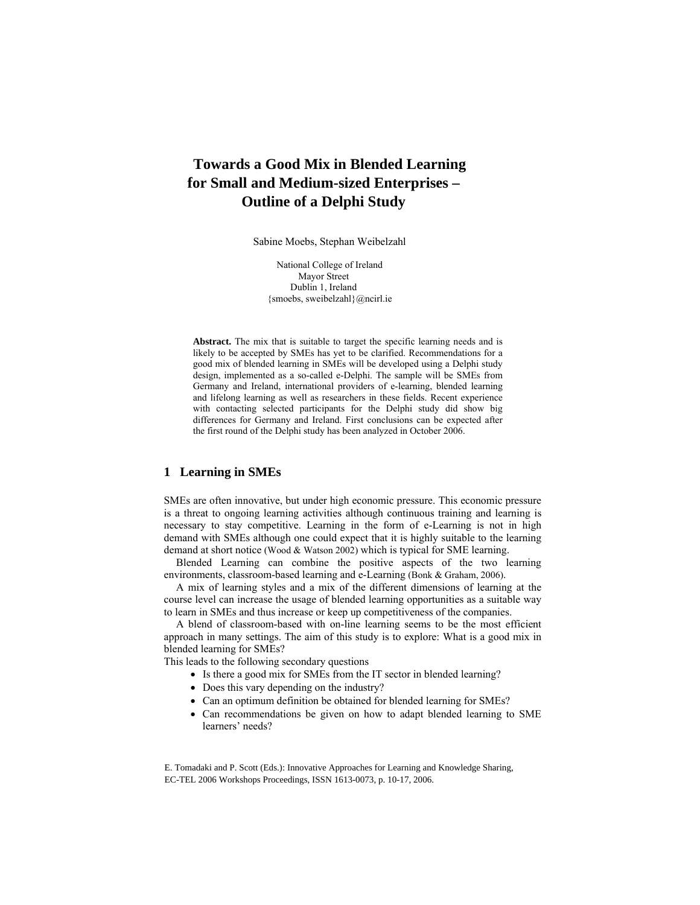# **Towards a Good Mix in Blended Learning for Small and Medium-sized Enterprises – Outline of a Delphi Study**

Sabine Moebs, Stephan Weibelzahl

National College of Ireland Mayor Street Dublin 1, Ireland {smoebs, sweibelzahl}@ncirl.ie

**Abstract.** The mix that is suitable to target the specific learning needs and is likely to be accepted by SMEs has yet to be clarified. Recommendations for a good mix of blended learning in SMEs will be developed using a Delphi study design, implemented as a so-called e-Delphi. The sample will be SMEs from Germany and Ireland, international providers of e-learning, blended learning and lifelong learning as well as researchers in these fields. Recent experience with contacting selected participants for the Delphi study did show big differences for Germany and Ireland. First conclusions can be expected after the first round of the Delphi study has been analyzed in October 2006.

# **1 Learning in SMEs**

SMEs are often innovative, but under high economic pressure. This economic pressure is a threat to ongoing learning activities although continuous training and learning is necessary to stay competitive. Learning in the form of e-Learning is not in high demand with SMEs although one could expect that it is highly suitable to the learning demand at short notice (Wood & Watson 2002) which is typical for SME learning.

Blended Learning can combine the positive aspects of the two learning environments, classroom-based learning and e-Learning (Bonk & Graham, 2006).

A mix of learning styles and a mix of the different dimensions of learning at the course level can increase the usage of blended learning opportunities as a suitable way to learn in SMEs and thus increase or keep up competitiveness of the companies.

A blend of classroom-based with on-line learning seems to be the most efficient approach in many settings. The aim of this study is to explore: What is a good mix in blended learning for SMEs?

This leads to the following secondary questions

- Is there a good mix for SMEs from the IT sector in blended learning?
- Does this vary depending on the industry?
- Can an optimum definition be obtained for blended learning for SMEs?
- Can recommendations be given on how to adapt blended learning to SME learners' needs?

E. Tomadaki and P. Scott (Eds.): Innovative Approaches for Learning and Knowledge Sharing, EC-TEL 2006 Workshops Proceedings, ISSN 1613-0073, p. 10-17, 2006.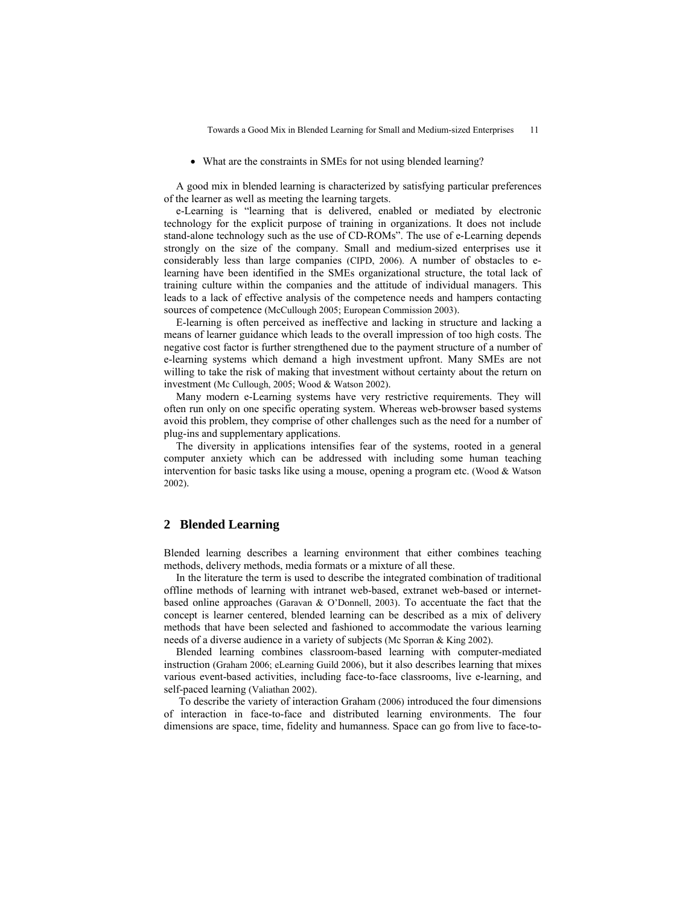• What are the constraints in SMEs for not using blended learning?

A good mix in blended learning is characterized by satisfying particular preferences of the learner as well as meeting the learning targets.

e-Learning is "learning that is delivered, enabled or mediated by electronic technology for the explicit purpose of training in organizations. It does not include stand-alone technology such as the use of CD-ROMs". The use of e-Learning depends strongly on the size of the company. Small and medium-sized enterprises use it considerably less than large companies (CIPD, 2006). A number of obstacles to elearning have been identified in the SMEs organizational structure, the total lack of training culture within the companies and the attitude of individual managers. This leads to a lack of effective analysis of the competence needs and hampers contacting sources of competence (McCullough 2005; European Commission 2003).

E-learning is often perceived as ineffective and lacking in structure and lacking a means of learner guidance which leads to the overall impression of too high costs. The negative cost factor is further strengthened due to the payment structure of a number of e-learning systems which demand a high investment upfront. Many SMEs are not willing to take the risk of making that investment without certainty about the return on investment (Mc Cullough, 2005; Wood & Watson 2002).

Many modern e-Learning systems have very restrictive requirements. They will often run only on one specific operating system. Whereas web-browser based systems avoid this problem, they comprise of other challenges such as the need for a number of plug-ins and supplementary applications.

The diversity in applications intensifies fear of the systems, rooted in a general computer anxiety which can be addressed with including some human teaching intervention for basic tasks like using a mouse, opening a program etc. (Wood & Watson 2002).

#### **2 Blended Learning**

Blended learning describes a learning environment that either combines teaching methods, delivery methods, media formats or a mixture of all these.

In the literature the term is used to describe the integrated combination of traditional offline methods of learning with intranet web-based, extranet web-based or internetbased online approaches (Garavan & O'Donnell, 2003). To accentuate the fact that the concept is learner centered, blended learning can be described as a mix of delivery methods that have been selected and fashioned to accommodate the various learning needs of a diverse audience in a variety of subjects (Mc Sporran & King 2002).

Blended learning combines classroom-based learning with computer-mediated instruction (Graham 2006; eLearning Guild 2006), but it also describes learning that mixes various event-based activities, including face-to-face classrooms, live e-learning, and self-paced learning (Valiathan 2002).

 To describe the variety of interaction Graham (2006) introduced the four dimensions of interaction in face-to-face and distributed learning environments. The four dimensions are space, time, fidelity and humanness. Space can go from live to face-to-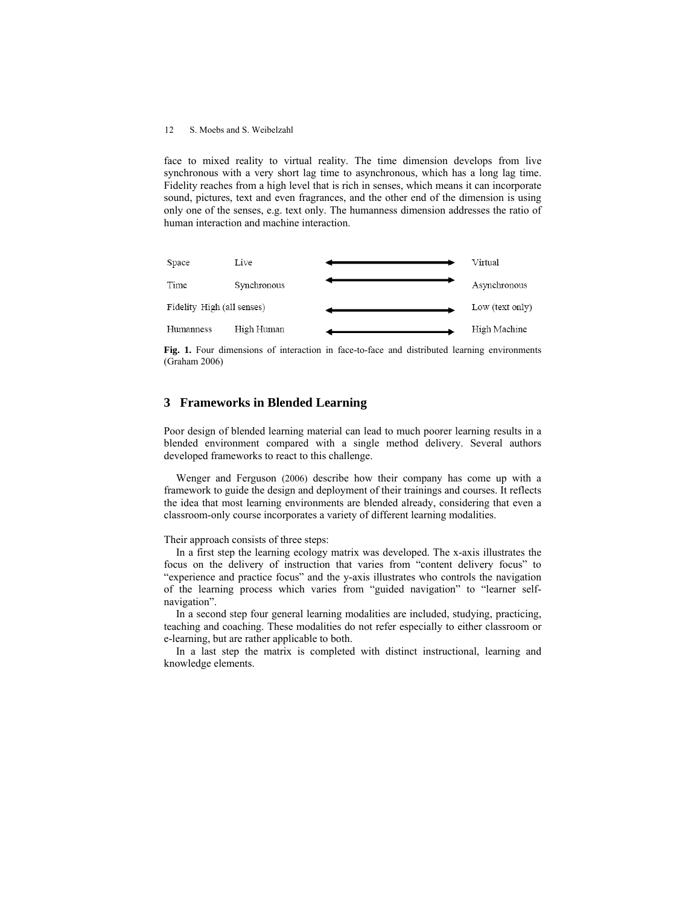#### 12 S. Moebs and S. Weibelzahl

face to mixed reality to virtual reality. The time dimension develops from live synchronous with a very short lag time to asynchronous, which has a long lag time. Fidelity reaches from a high level that is rich in senses, which means it can incorporate sound, pictures, text and even fragrances, and the other end of the dimension is using only one of the senses, e.g. text only. The humanness dimension addresses the ratio of human interaction and machine interaction.



Fig. 1. Four dimensions of interaction in face-to-face and distributed learning environments (Graham 2006)

## **3 Frameworks in Blended Learning**

Poor design of blended learning material can lead to much poorer learning results in a blended environment compared with a single method delivery. Several authors developed frameworks to react to this challenge.

Wenger and Ferguson (2006) describe how their company has come up with a framework to guide the design and deployment of their trainings and courses. It reflects the idea that most learning environments are blended already, considering that even a classroom-only course incorporates a variety of different learning modalities.

Their approach consists of three steps:

In a first step the learning ecology matrix was developed. The x-axis illustrates the focus on the delivery of instruction that varies from "content delivery focus" to "experience and practice focus" and the y-axis illustrates who controls the navigation of the learning process which varies from "guided navigation" to "learner selfnavigation".

In a second step four general learning modalities are included, studying, practicing, teaching and coaching. These modalities do not refer especially to either classroom or e-learning, but are rather applicable to both.

In a last step the matrix is completed with distinct instructional, learning and knowledge elements.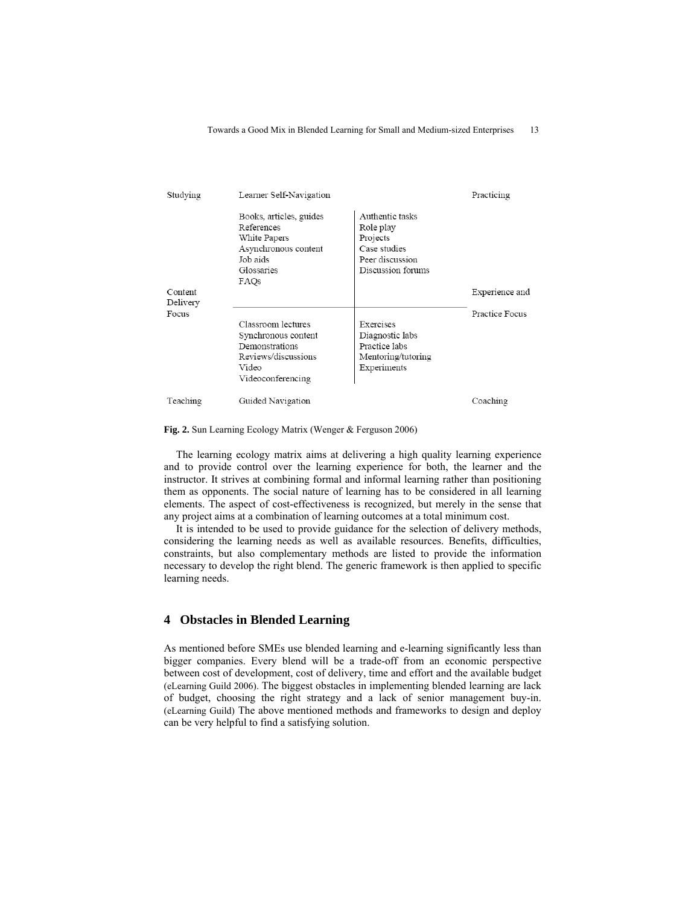| Studying            | Learner Self-Navigation                                                                                          |                                                                                                  | Practicing     |
|---------------------|------------------------------------------------------------------------------------------------------------------|--------------------------------------------------------------------------------------------------|----------------|
|                     | Books, articles, guides<br>References<br>White Papers<br>Asynchronous content<br>Job aids<br>Glossaries<br>FAOs  | Authentic tasks<br>Role play<br>Projects<br>Case studies<br>Peer discussion<br>Discussion forums |                |
| Content<br>Delivery |                                                                                                                  |                                                                                                  | Experience and |
| Focus               | Classroom lectures<br>Synchronous content<br>Demonstrations<br>Reviews/discussions<br>Video<br>Videoconferencing | Exercises<br>Diagnostic labs<br>Practice labs<br>Mentoring/tutoring<br>Experiments               | Practice Focus |
| Teaching            | Guided Navigation                                                                                                |                                                                                                  | Coaching       |

**Fig. 2.** Sun Learning Ecology Matrix (Wenger & Ferguson 2006)

The learning ecology matrix aims at delivering a high quality learning experience and to provide control over the learning experience for both, the learner and the instructor. It strives at combining formal and informal learning rather than positioning them as opponents. The social nature of learning has to be considered in all learning elements. The aspect of cost-effectiveness is recognized, but merely in the sense that any project aims at a combination of learning outcomes at a total minimum cost.

It is intended to be used to provide guidance for the selection of delivery methods, considering the learning needs as well as available resources. Benefits, difficulties, constraints, but also complementary methods are listed to provide the information necessary to develop the right blend. The generic framework is then applied to specific learning needs.

# **4 Obstacles in Blended Learning**

As mentioned before SMEs use blended learning and e-learning significantly less than bigger companies. Every blend will be a trade-off from an economic perspective between cost of development, cost of delivery, time and effort and the available budget (eLearning Guild 2006). The biggest obstacles in implementing blended learning are lack of budget, choosing the right strategy and a lack of senior management buy-in. (eLearning Guild) The above mentioned methods and frameworks to design and deploy can be very helpful to find a satisfying solution.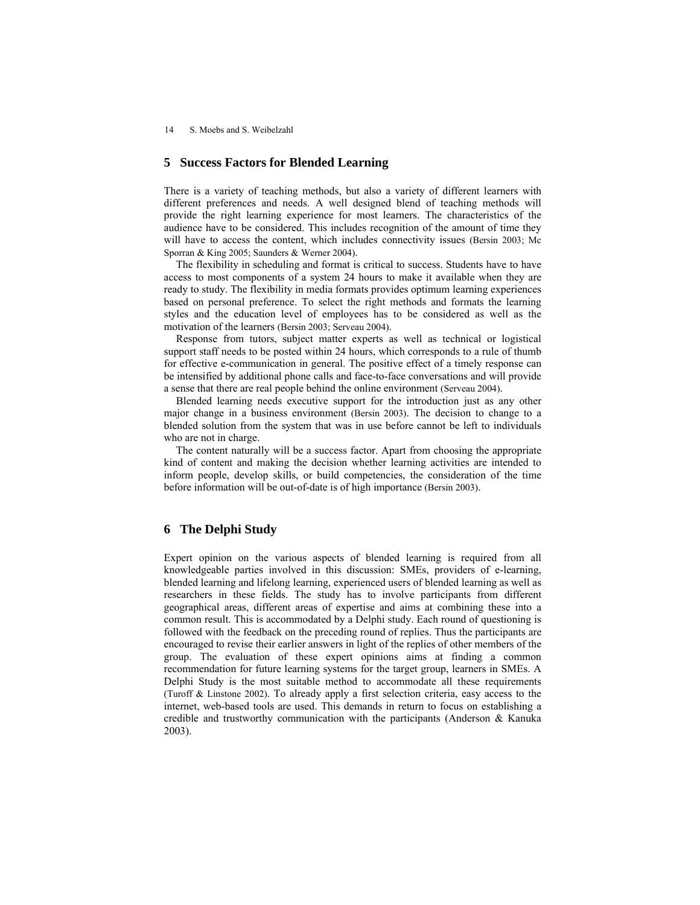14 S. Moebs and S. Weibelzahl

### **5 Success Factors for Blended Learning**

There is a variety of teaching methods, but also a variety of different learners with different preferences and needs. A well designed blend of teaching methods will provide the right learning experience for most learners. The characteristics of the audience have to be considered. This includes recognition of the amount of time they will have to access the content, which includes connectivity issues (Bersin 2003; Mc Sporran & King 2005; Saunders & Werner 2004).

The flexibility in scheduling and format is critical to success. Students have to have access to most components of a system 24 hours to make it available when they are ready to study. The flexibility in media formats provides optimum learning experiences based on personal preference. To select the right methods and formats the learning styles and the education level of employees has to be considered as well as the motivation of the learners (Bersin 2003; Serveau 2004).

Response from tutors, subject matter experts as well as technical or logistical support staff needs to be posted within 24 hours, which corresponds to a rule of thumb for effective e-communication in general. The positive effect of a timely response can be intensified by additional phone calls and face-to-face conversations and will provide a sense that there are real people behind the online environment (Serveau 2004).

Blended learning needs executive support for the introduction just as any other major change in a business environment (Bersin 2003). The decision to change to a blended solution from the system that was in use before cannot be left to individuals who are not in charge.

The content naturally will be a success factor. Apart from choosing the appropriate kind of content and making the decision whether learning activities are intended to inform people, develop skills, or build competencies, the consideration of the time before information will be out-of-date is of high importance (Bersin 2003).

# **6 The Delphi Study**

Expert opinion on the various aspects of blended learning is required from all knowledgeable parties involved in this discussion: SMEs, providers of e-learning, blended learning and lifelong learning, experienced users of blended learning as well as researchers in these fields. The study has to involve participants from different geographical areas, different areas of expertise and aims at combining these into a common result. This is accommodated by a Delphi study. Each round of questioning is followed with the feedback on the preceding round of replies. Thus the participants are encouraged to revise their earlier answers in light of the replies of other members of the group. The evaluation of these expert opinions aims at finding a common recommendation for future learning systems for the target group, learners in SMEs. A Delphi Study is the most suitable method to accommodate all these requirements (Turoff & Linstone 2002). To already apply a first selection criteria, easy access to the internet, web-based tools are used. This demands in return to focus on establishing a credible and trustworthy communication with the participants (Anderson & Kanuka 2003).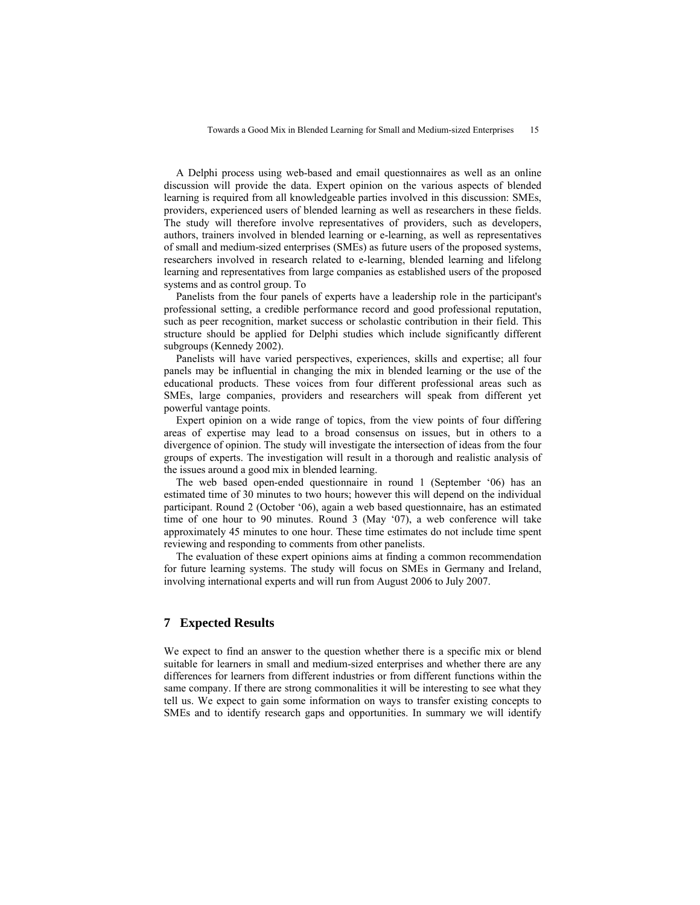A Delphi process using web-based and email questionnaires as well as an online discussion will provide the data. Expert opinion on the various aspects of blended learning is required from all knowledgeable parties involved in this discussion: SMEs, providers, experienced users of blended learning as well as researchers in these fields. The study will therefore involve representatives of providers, such as developers, authors, trainers involved in blended learning or e-learning, as well as representatives of small and medium-sized enterprises (SMEs) as future users of the proposed systems, researchers involved in research related to e-learning, blended learning and lifelong learning and representatives from large companies as established users of the proposed systems and as control group. To

Panelists from the four panels of experts have a leadership role in the participant's professional setting, a credible performance record and good professional reputation, such as peer recognition, market success or scholastic contribution in their field. This structure should be applied for Delphi studies which include significantly different subgroups (Kennedy 2002).

Panelists will have varied perspectives, experiences, skills and expertise; all four panels may be influential in changing the mix in blended learning or the use of the educational products. These voices from four different professional areas such as SMEs, large companies, providers and researchers will speak from different yet powerful vantage points.

Expert opinion on a wide range of topics, from the view points of four differing areas of expertise may lead to a broad consensus on issues, but in others to a divergence of opinion. The study will investigate the intersection of ideas from the four groups of experts. The investigation will result in a thorough and realistic analysis of the issues around a good mix in blended learning.

The web based open-ended questionnaire in round 1 (September '06) has an estimated time of 30 minutes to two hours; however this will depend on the individual participant. Round 2 (October '06), again a web based questionnaire, has an estimated time of one hour to 90 minutes. Round 3 (May '07), a web conference will take approximately 45 minutes to one hour. These time estimates do not include time spent reviewing and responding to comments from other panelists.

The evaluation of these expert opinions aims at finding a common recommendation for future learning systems. The study will focus on SMEs in Germany and Ireland, involving international experts and will run from August 2006 to July 2007.

#### **7 Expected Results**

We expect to find an answer to the question whether there is a specific mix or blend suitable for learners in small and medium-sized enterprises and whether there are any differences for learners from different industries or from different functions within the same company. If there are strong commonalities it will be interesting to see what they tell us. We expect to gain some information on ways to transfer existing concepts to SMEs and to identify research gaps and opportunities. In summary we will identify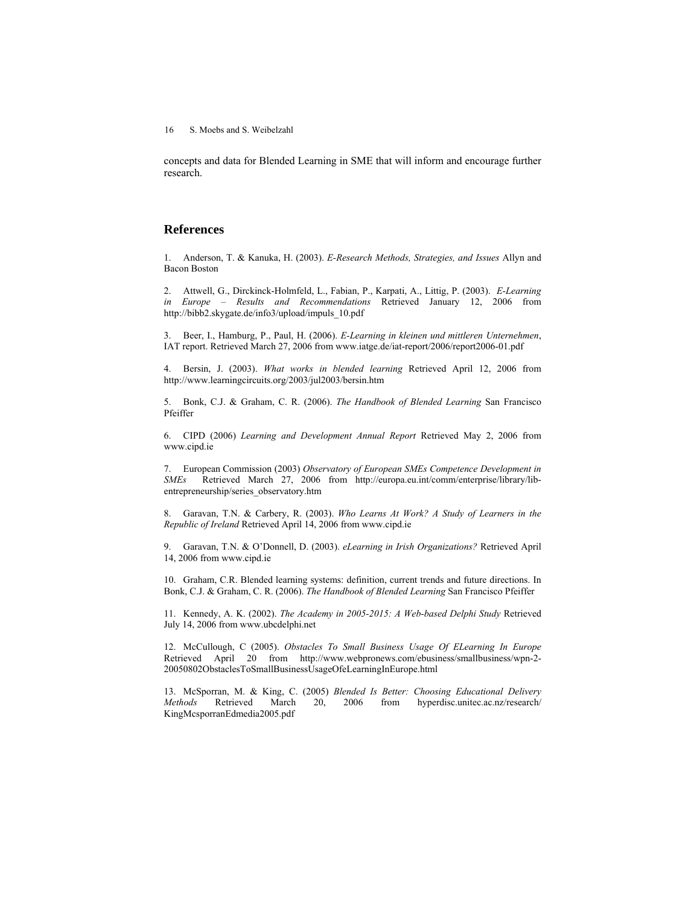16 S. Moebs and S. Weibelzahl

concepts and data for Blended Learning in SME that will inform and encourage further research.

### **References**

1. Anderson, T. & Kanuka, H. (2003). *E-Research Methods, Strategies, and Issues* Allyn and Bacon Boston

2. Attwell, G., Dirckinck-Holmfeld, L., Fabian, P., Karpati, A., Littig, P. (2003). *E-Learning in Europe – Results and Recommendations* Retrieved January 12, 2006 from http://bibb2.skygate.de/info3/upload/impuls\_10.pdf

3. Beer, I., Hamburg, P., Paul, H. (2006). *E-Learning in kleinen und mittleren Unternehmen*, IAT report. Retrieved March 27, 2006 from www.iatge.de/iat-report/2006/report2006-01.pdf

4. Bersin, J. (2003). *What works in blended learning* Retrieved April 12, 2006 from http://www.learningcircuits.org/2003/jul2003/bersin.htm

5. Bonk, C.J. & Graham, C. R. (2006). *The Handbook of Blended Learning* San Francisco Pfeiffer

6. CIPD (2006) *Learning and Development Annual Report* Retrieved May 2, 2006 from www.cipd.ie

7. European Commission (2003) *Observatory of European SMEs Competence Development in SMEs* Retrieved March 27, 2006 from http://europa.eu.int/comm/enterprise/library/libentrepreneurship/series\_observatory.htm

8. Garavan, T.N. & Carbery, R. (2003). *Who Learns At Work? A Study of Learners in the Republic of Ireland* Retrieved April 14, 2006 from www.cipd.ie

9. Garavan, T.N. & O'Donnell, D. (2003). *eLearning in Irish Organizations?* Retrieved April 14, 2006 from www.cipd.ie

10. Graham, C.R. Blended learning systems: definition, current trends and future directions. In Bonk, C.J. & Graham, C. R. (2006). *The Handbook of Blended Learning* San Francisco Pfeiffer

11. Kennedy, A. K. (2002). *The Academy in 2005-2015: A Web-based Delphi Study* Retrieved July 14, 2006 from www.ubcdelphi.net

12. McCullough, C (2005). *Obstacles To Small Business Usage Of ELearning In Europe* Retrieved April 20 from http://www.webpronews.com/ebusiness/smallbusiness/wpn-2- 20050802ObstaclesToSmallBusinessUsageOfeLearningInEurope.html

13. McSporran, M. & King, C. (2005) *Blended Is Better: Choosing Educational Delivery Methods* Retrieved March 20, 2006 from hyperdisc.unitec.ac.nz/research/ KingMcsporranEdmedia2005.pdf